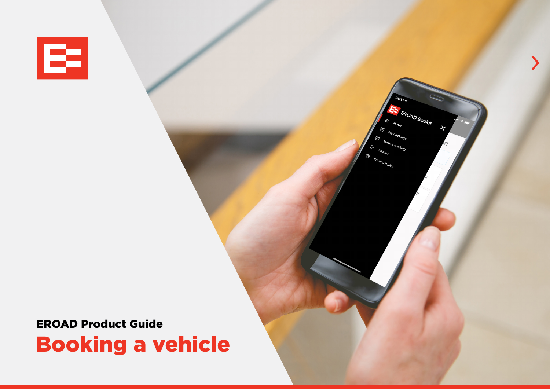

EROAD Product Guide Booking a vehicle FROAD Booklt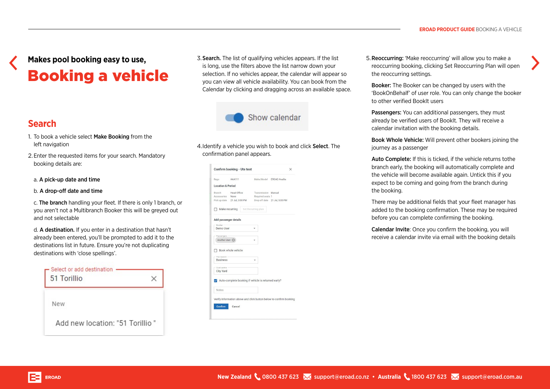# **Makes pool booking easy to use,**  Booking a vehicle

### **Search**

- 1. To book a vehicle select Make Booking from the left navigation
- 2.Enter the requested items for your search. Mandatory booking details are:
- a. A pick-up date and time
- b. A drop-off date and time
- c. The branch handling your fleet. If there is only 1 branch, or you aren't not a Multibranch Booker this will be greyed out and not selectable
- d. A destination. If you enter in a destination that hasn't already been entered, you'll be prompted to add it to the destinations list in future. Ensure you're not duplicating destinations with 'close spellings'.

| Select or add destination<br>51 Torillio |  |
|------------------------------------------|--|
| New                                      |  |
| Add new location: "51 Torillio"          |  |

3.Search. The list of qualifying vehicles appears. If the list is long, use the filters above the list narrow down your selection. If no vehicles appear, the calendar will appear so you can view all vehicle availability. You can book from the Calendar by clicking and dragging across an available space.



4.Identify a vehicle you wish to book and click Select. The confirmation panel appears.

| Rego                             | AAA111                                              |                            | Make/Model FROAD Availia                                           |
|----------------------------------|-----------------------------------------------------|----------------------------|--------------------------------------------------------------------|
| <b>Location &amp; Period</b>     |                                                     |                            |                                                                    |
| Branch                           | Head Office                                         | <b>Transmission Manual</b> |                                                                    |
| Accessories None                 |                                                     | Required seats 1           |                                                                    |
|                                  | Pick up date 21 Jul, 3:00 PM                        |                            | Drop off date 21 Jul, 5:00 PM                                      |
|                                  | Make recurring                                      | Set Recurring plan         |                                                                    |
|                                  | Add passenger details                               |                            |                                                                    |
| Booker -                         |                                                     |                            |                                                                    |
| Demo User                        |                                                     |                            |                                                                    |
|                                  |                                                     |                            |                                                                    |
| Passengers -                     |                                                     |                            |                                                                    |
|                                  |                                                     |                            |                                                                    |
| Another User                     |                                                     |                            |                                                                    |
|                                  |                                                     |                            |                                                                    |
|                                  |                                                     |                            |                                                                    |
|                                  | Book whole vehicle                                  |                            |                                                                    |
|                                  |                                                     |                            |                                                                    |
| Trip reason -<br><b>Business</b> |                                                     |                            |                                                                    |
|                                  |                                                     |                            |                                                                    |
| Cost centre                      |                                                     |                            |                                                                    |
|                                  |                                                     |                            |                                                                    |
| <b>City Yard</b>                 |                                                     |                            |                                                                    |
|                                  |                                                     |                            |                                                                    |
|                                  | Auto-complete booking if vehicle is returned early? |                            |                                                                    |
|                                  |                                                     |                            |                                                                    |
| <b>Notes</b>                     |                                                     |                            |                                                                    |
|                                  |                                                     |                            |                                                                    |
|                                  |                                                     |                            | Verify information above and click button below to confirm booking |

5.Reoccurring: 'Make reoccurring' will allow you to make a reoccurring booking, clicking Set Reoccurring Plan will open the reoccurring settings.

Booker: The Booker can be changed by users with the 'BookOnBehalf' of user role. You can only change the booker to other verified BookIt users

Passengers: You can additional passengers, they must already be verified users of BookIt. They will receive a calendar invitation with the booking details.

Book Whole Vehicle: Will prevent other bookers joining the journey as a passenger

Auto Complete: If this is ticked, if the vehicle returns tothe branch early, the booking will automatically complete and the vehicle will become available again. Untick this if you expect to be coming and going from the branch during the booking.

There may be additional fields that your fleet manager has added to the booking confirmation. These may be required before you can complete confirming the booking.

Calendar Invite: Once you confirm the booking, you will receive a calendar invite via email with the booking details